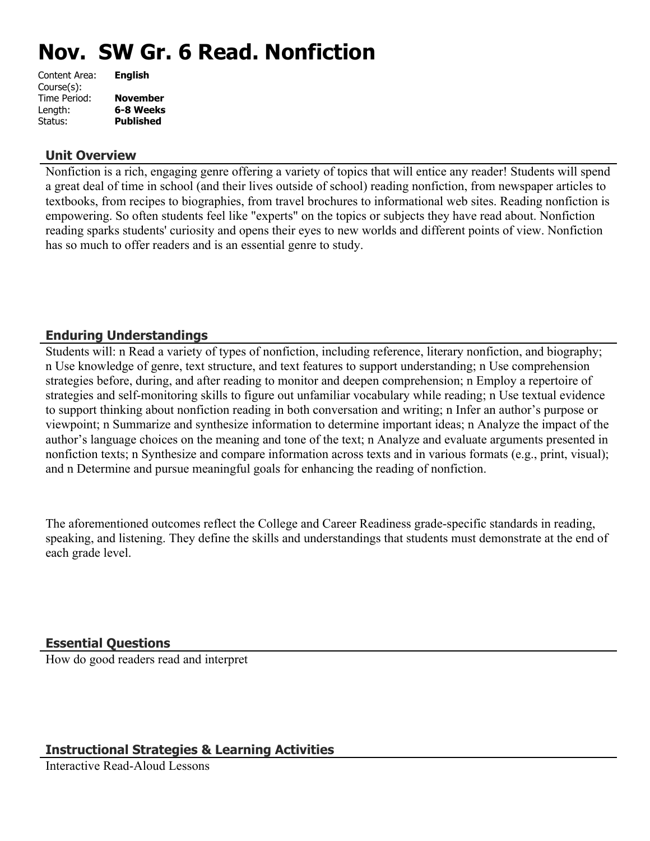# **Nov. SW Gr. 6 Read. Nonfiction**

| Content Area: | <b>English</b>   |
|---------------|------------------|
| Course(s):    |                  |
| Time Period:  | <b>November</b>  |
| Length:       | 6-8 Weeks        |
| Status:       | <b>Published</b> |
|               |                  |

## **Unit Overview**

Nonfiction is a rich, engaging genre offering a variety of topics that will entice any reader! Students will spend a great deal of time in school (and their lives outside of school) reading nonfiction, from newspaper articles to textbooks, from recipes to biographies, from travel brochures to informational web sites. Reading nonfiction is empowering. So often students feel like "experts" on the topics or subjects they have read about. Nonfiction reading sparks students' curiosity and opens their eyes to new worlds and different points of view. Nonfiction has so much to offer readers and is an essential genre to study.

# **Enduring Understandings**

Students will: n Read a variety of types of nonfiction, including reference, literary nonfiction, and biography; n Use knowledge of genre, text structure, and text features to support understanding; n Use comprehension strategies before, during, and after reading to monitor and deepen comprehension; n Employ a repertoire of strategies and self-monitoring skills to figure out unfamiliar vocabulary while reading; n Use textual evidence to support thinking about nonfiction reading in both conversation and writing; n Infer an author's purpose or viewpoint; n Summarize and synthesize information to determine important ideas; n Analyze the impact of the author's language choices on the meaning and tone of the text; n Analyze and evaluate arguments presented in nonfiction texts; n Synthesize and compare information across texts and in various formats (e.g., print, visual); and n Determine and pursue meaningful goals for enhancing the reading of nonfiction.

The aforementioned outcomes reflect the College and Career Readiness grade-specific standards in reading, speaking, and listening. They define the skills and understandings that students must demonstrate at the end of each grade level.

# **Essential Questions**

How do good readers read and interpret

# **Instructional Strategies & Learning Activities**

Interactive Read-Aloud Lessons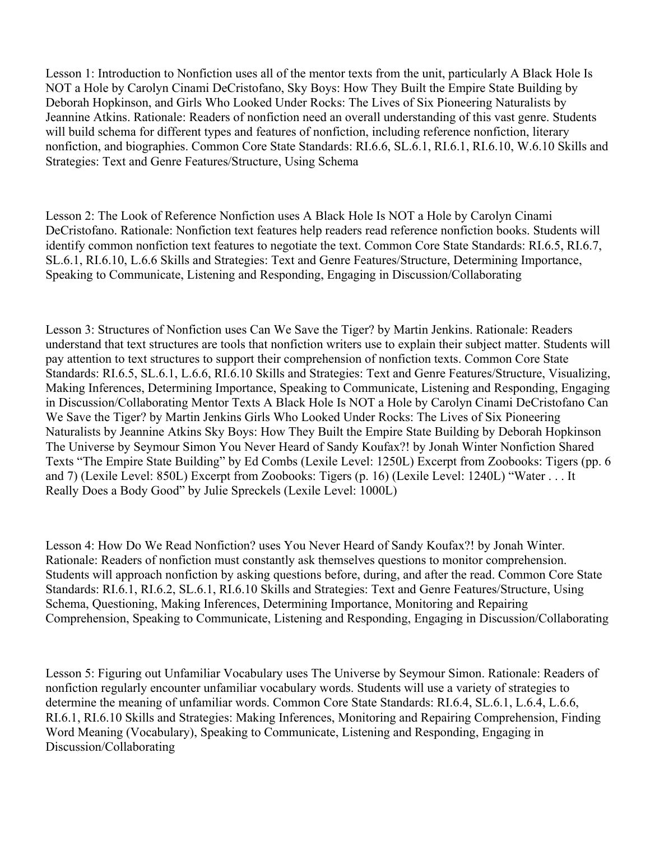Lesson 1: Introduction to Nonfiction uses all of the mentor texts from the unit, particularly A Black Hole Is NOT a Hole by Carolyn Cinami DeCristofano, Sky Boys: How They Built the Empire State Building by Deborah Hopkinson, and Girls Who Looked Under Rocks: The Lives of Six Pioneering Naturalists by Jeannine Atkins. Rationale: Readers of nonfiction need an overall understanding of this vast genre. Students will build schema for different types and features of nonfiction, including reference nonfiction, literary nonfiction, and biographies. Common Core State Standards: RI.6.6, SL.6.1, RI.6.1, RI.6.10, W.6.10 Skills and Strategies: Text and Genre Features/Structure, Using Schema

Lesson 2: The Look of Reference Nonfiction uses A Black Hole Is NOT a Hole by Carolyn Cinami DeCristofano. Rationale: Nonfiction text features help readers read reference nonfiction books. Students will identify common nonfiction text features to negotiate the text. Common Core State Standards: RI.6.5, RI.6.7, SL.6.1, RI.6.10, L.6.6 Skills and Strategies: Text and Genre Features/Structure, Determining Importance, Speaking to Communicate, Listening and Responding, Engaging in Discussion/Collaborating

Lesson 3: Structures of Nonfiction uses Can We Save the Tiger? by Martin Jenkins. Rationale: Readers understand that text structures are tools that nonfiction writers use to explain their subject matter. Students will pay attention to text structures to support their comprehension of nonfiction texts. Common Core State Standards: RI.6.5, SL.6.1, L.6.6, RI.6.10 Skills and Strategies: Text and Genre Features/Structure, Visualizing, Making Inferences, Determining Importance, Speaking to Communicate, Listening and Responding, Engaging in Discussion/Collaborating Mentor Texts A Black Hole Is NOT a Hole by Carolyn Cinami DeCristofano Can We Save the Tiger? by Martin Jenkins Girls Who Looked Under Rocks: The Lives of Six Pioneering Naturalists by Jeannine Atkins Sky Boys: How They Built the Empire State Building by Deborah Hopkinson The Universe by Seymour Simon You Never Heard of Sandy Koufax?! by Jonah Winter Nonfiction Shared Texts "The Empire State Building" by Ed Combs (Lexile Level: 1250L) Excerpt from Zoobooks: Tigers (pp. 6 and 7) (Lexile Level: 850L) Excerpt from Zoobooks: Tigers (p. 16) (Lexile Level: 1240L) "Water . . . It Really Does a Body Good" by Julie Spreckels (Lexile Level: 1000L)

Lesson 4: How Do We Read Nonfiction? uses You Never Heard of Sandy Koufax?! by Jonah Winter. Rationale: Readers of nonfiction must constantly ask themselves questions to monitor comprehension. Students will approach nonfiction by asking questions before, during, and after the read. Common Core State Standards: RI.6.1, RI.6.2, SL.6.1, RI.6.10 Skills and Strategies: Text and Genre Features/Structure, Using Schema, Questioning, Making Inferences, Determining Importance, Monitoring and Repairing Comprehension, Speaking to Communicate, Listening and Responding, Engaging in Discussion/Collaborating

Lesson 5: Figuring out Unfamiliar Vocabulary uses The Universe by Seymour Simon. Rationale: Readers of nonfiction regularly encounter unfamiliar vocabulary words. Students will use a variety of strategies to determine the meaning of unfamiliar words. Common Core State Standards: RI.6.4, SL.6.1, L.6.4, L.6.6, RI.6.1, RI.6.10 Skills and Strategies: Making Inferences, Monitoring and Repairing Comprehension, Finding Word Meaning (Vocabulary), Speaking to Communicate, Listening and Responding, Engaging in Discussion/Collaborating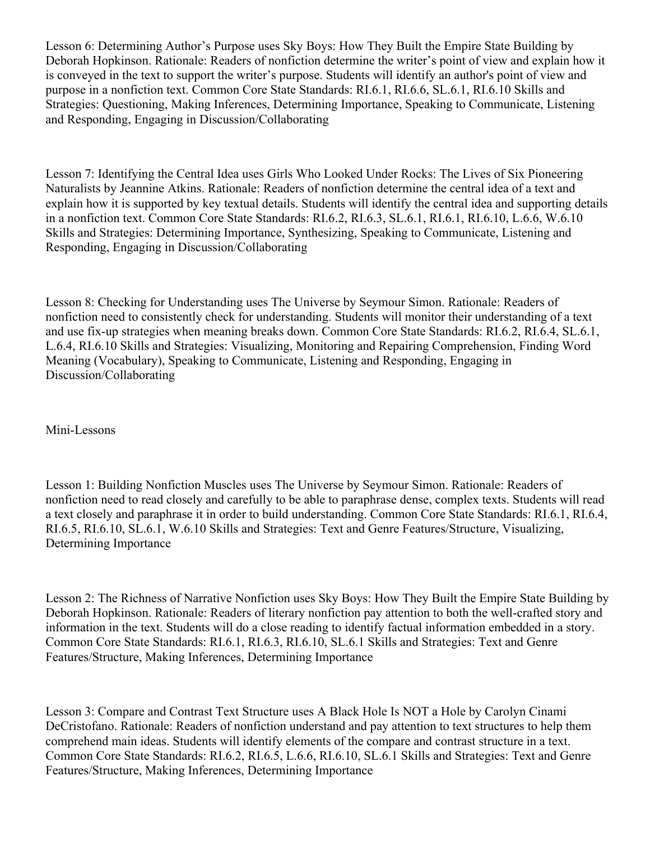Lesson 6: Determining Author's Purpose uses Sky Boys: How They Built the Empire State Building by Deborah Hopkinson. Rationale: Readers of nonfiction determine the writer's point of view and explain how it is conveyed in the text to support the writer's purpose. Students will identify an author's point of view and purpose in a nonfiction text. Common Core State Standards: RI.6.1, RI.6.6, SL.6.1, RI.6.10 Skills and Strategies: Questioning, Making Inferences, Determining Importance, Speaking to Communicate, Listening and Responding, Engaging in Discussion/Collaborating

Lesson 7: Identifying the Central Idea uses Girls Who Looked Under Rocks: The Lives of Six Pioneering Naturalists by Jeannine Atkins. Rationale: Readers of nonfiction determine the central idea of a text and explain how it is supported by key textual details. Students will identify the central idea and supporting details in a nonfiction text. Common Core State Standards: RI.6.2, RI.6.3, SL.6.1, RI.6.1, RI.6.10, L.6.6, W.6.10 Skills and Strategies: Determining Importance, Synthesizing, Speaking to Communicate, Listening and Responding, Engaging in Discussion/Collaborating

Lesson 8: Checking for Understanding uses The Universe by Seymour Simon. Rationale: Readers of nonfiction need to consistently check for understanding. Students will monitor their understanding of a text and use fix-up strategies when meaning breaks down. Common Core State Standards: RI.6.2, RI.6.4, SL.6.1, L.6.4, RI.6.10 Skills and Strategies: Visualizing, Monitoring and Repairing Comprehension, Finding Word Meaning (Vocabulary), Speaking to Communicate, Listening and Responding, Engaging in Discussion/Collaborating

Mini-Lessons

Lesson 1: Building Nonfiction Muscles uses The Universe by Seymour Simon. Rationale: Readers of nonfiction need to read closely and carefully to be able to paraphrase dense, complex texts. Students will read a text closely and paraphrase it in order to build understanding. Common Core State Standards: RI.6.1, RI.6.4, RI.6.5, RI.6.10, SL.6.1, W.6.10 Skills and Strategies: Text and Genre Features/Structure, Visualizing, Determining Importance

Lesson 2: The Richness of Narrative Nonfiction uses Sky Boys: How They Built the Empire State Building by Deborah Hopkinson. Rationale: Readers of literary nonfiction pay attention to both the well-crafted story and information in the text. Students will do a close reading to identify factual information embedded in a story. Common Core State Standards: RI.6.1, RI.6.3, RI.6.10, SL.6.1 Skills and Strategies: Text and Genre Features/Structure, Making Inferences, Determining Importance

Lesson 3: Compare and Contrast Text Structure uses A Black Hole Is NOT a Hole by Carolyn Cinami DeCristofano. Rationale: Readers of nonfiction understand and pay attention to text structures to help them comprehend main ideas. Students will identify elements of the compare and contrast structure in a text. Common Core State Standards: RI.6.2, RI.6.5, L.6.6, RI.6.10, SL.6.1 Skills and Strategies: Text and Genre Features/Structure, Making Inferences, Determining Importance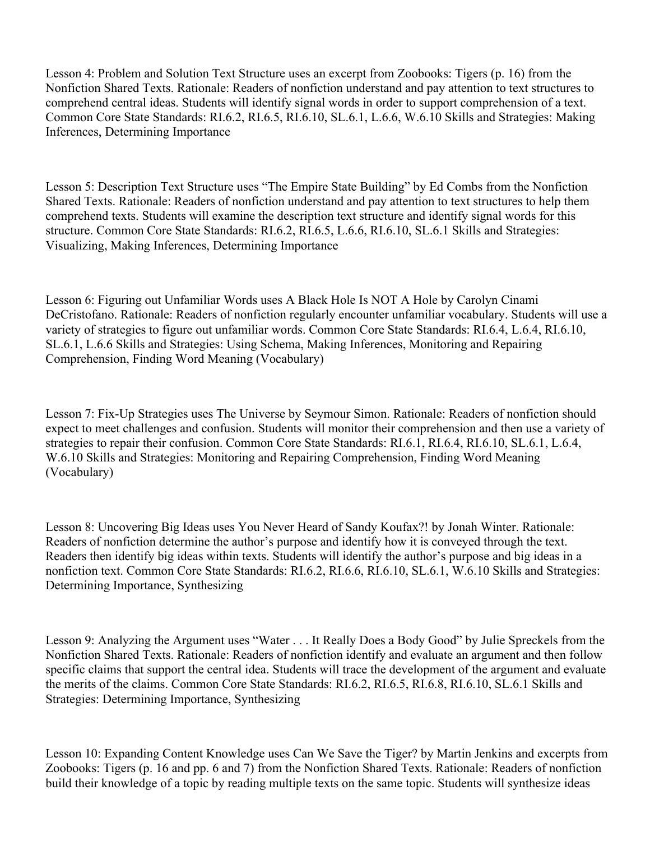Lesson 4: Problem and Solution Text Structure uses an excerpt from Zoobooks: Tigers (p. 16) from the Nonfiction Shared Texts. Rationale: Readers of nonfiction understand and pay attention to text structures to comprehend central ideas. Students will identify signal words in order to support comprehension of a text. Common Core State Standards: RI.6.2, RI.6.5, RI.6.10, SL.6.1, L.6.6, W.6.10 Skills and Strategies: Making Inferences, Determining Importance

Lesson 5: Description Text Structure uses "The Empire State Building" by Ed Combs from the Nonfiction Shared Texts. Rationale: Readers of nonfiction understand and pay attention to text structures to help them comprehend texts. Students will examine the description text structure and identify signal words for this structure. Common Core State Standards: RI.6.2, RI.6.5, L.6.6, RI.6.10, SL.6.1 Skills and Strategies: Visualizing, Making Inferences, Determining Importance

Lesson 6: Figuring out Unfamiliar Words uses A Black Hole Is NOT A Hole by Carolyn Cinami DeCristofano. Rationale: Readers of nonfiction regularly encounter unfamiliar vocabulary. Students will use a variety of strategies to figure out unfamiliar words. Common Core State Standards: RI.6.4, L.6.4, RI.6.10, SL.6.1, L.6.6 Skills and Strategies: Using Schema, Making Inferences, Monitoring and Repairing Comprehension, Finding Word Meaning (Vocabulary)

Lesson 7: Fix-Up Strategies uses The Universe by Seymour Simon. Rationale: Readers of nonfiction should expect to meet challenges and confusion. Students will monitor their comprehension and then use a variety of strategies to repair their confusion. Common Core State Standards: RI.6.1, RI.6.4, RI.6.10, SL.6.1, L.6.4, W.6.10 Skills and Strategies: Monitoring and Repairing Comprehension, Finding Word Meaning (Vocabulary)

Lesson 8: Uncovering Big Ideas uses You Never Heard of Sandy Koufax?! by Jonah Winter. Rationale: Readers of nonfiction determine the author's purpose and identify how it is conveyed through the text. Readers then identify big ideas within texts. Students will identify the author's purpose and big ideas in a nonfiction text. Common Core State Standards: RI.6.2, RI.6.6, RI.6.10, SL.6.1, W.6.10 Skills and Strategies: Determining Importance, Synthesizing

Lesson 9: Analyzing the Argument uses "Water . . . It Really Does a Body Good" by Julie Spreckels from the Nonfiction Shared Texts. Rationale: Readers of nonfiction identify and evaluate an argument and then follow specific claims that support the central idea. Students will trace the development of the argument and evaluate the merits of the claims. Common Core State Standards: RI.6.2, RI.6.5, RI.6.8, RI.6.10, SL.6.1 Skills and Strategies: Determining Importance, Synthesizing

Lesson 10: Expanding Content Knowledge uses Can We Save the Tiger? by Martin Jenkins and excerpts from Zoobooks: Tigers (p. 16 and pp. 6 and 7) from the Nonfiction Shared Texts. Rationale: Readers of nonfiction build their knowledge of a topic by reading multiple texts on the same topic. Students will synthesize ideas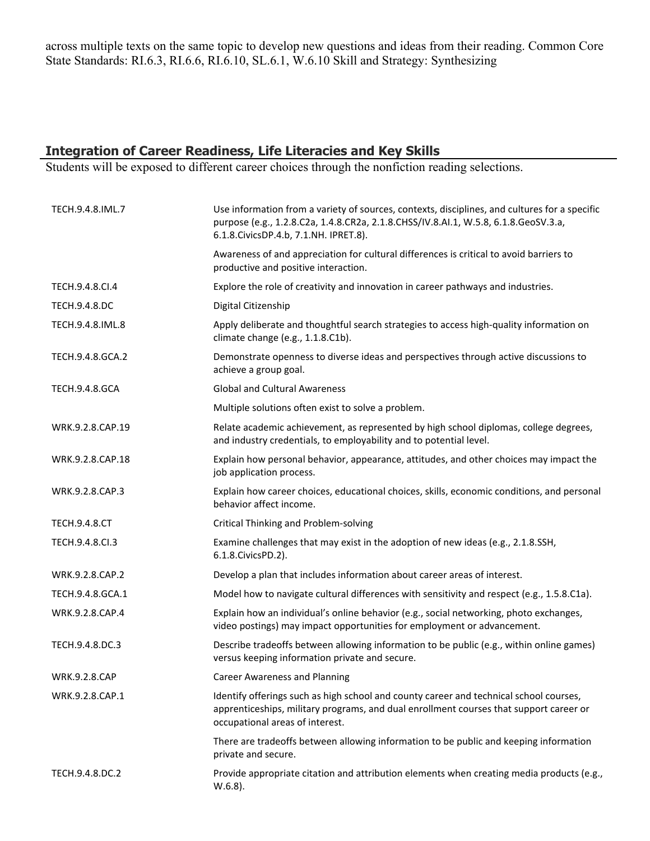across multiple texts on the same topic to develop new questions and ideas from their reading. Common Core State Standards: RI.6.3, RI.6.6, RI.6.10, SL.6.1, W.6.10 Skill and Strategy: Synthesizing

# **Integration of Career Readiness, Life Literacies and Key Skills**

Students will be exposed to different career choices through the nonfiction reading selections.

| TECH.9.4.8.IML.7      | Use information from a variety of sources, contexts, disciplines, and cultures for a specific<br>purpose (e.g., 1.2.8.C2a, 1.4.8.CR2a, 2.1.8.CHSS/IV.8.AI.1, W.5.8, 6.1.8.GeoSV.3.a,<br>6.1.8. Civics DP.4.b, 7.1. NH. IPRET.8). |
|-----------------------|----------------------------------------------------------------------------------------------------------------------------------------------------------------------------------------------------------------------------------|
|                       | Awareness of and appreciation for cultural differences is critical to avoid barriers to<br>productive and positive interaction.                                                                                                  |
| TECH.9.4.8.CI.4       | Explore the role of creativity and innovation in career pathways and industries.                                                                                                                                                 |
| <b>TECH.9.4.8.DC</b>  | Digital Citizenship                                                                                                                                                                                                              |
| TECH.9.4.8.IML.8      | Apply deliberate and thoughtful search strategies to access high-quality information on<br>climate change (e.g., 1.1.8.C1b).                                                                                                     |
| TECH.9.4.8.GCA.2      | Demonstrate openness to diverse ideas and perspectives through active discussions to<br>achieve a group goal.                                                                                                                    |
| <b>TECH.9.4.8.GCA</b> | <b>Global and Cultural Awareness</b>                                                                                                                                                                                             |
|                       | Multiple solutions often exist to solve a problem.                                                                                                                                                                               |
| WRK.9.2.8.CAP.19      | Relate academic achievement, as represented by high school diplomas, college degrees,<br>and industry credentials, to employability and to potential level.                                                                      |
| WRK.9.2.8.CAP.18      | Explain how personal behavior, appearance, attitudes, and other choices may impact the<br>job application process.                                                                                                               |
| WRK.9.2.8.CAP.3       | Explain how career choices, educational choices, skills, economic conditions, and personal<br>behavior affect income.                                                                                                            |
| <b>TECH.9.4.8.CT</b>  | <b>Critical Thinking and Problem-solving</b>                                                                                                                                                                                     |
| TECH.9.4.8.Cl.3       | Examine challenges that may exist in the adoption of new ideas (e.g., 2.1.8.SSH,<br>6.1.8. Civics PD. 2).                                                                                                                        |
| WRK.9.2.8.CAP.2       | Develop a plan that includes information about career areas of interest.                                                                                                                                                         |
| TECH.9.4.8.GCA.1      | Model how to navigate cultural differences with sensitivity and respect (e.g., 1.5.8.C1a).                                                                                                                                       |
| WRK.9.2.8.CAP.4       | Explain how an individual's online behavior (e.g., social networking, photo exchanges,<br>video postings) may impact opportunities for employment or advancement.                                                                |
| TECH.9.4.8.DC.3       | Describe tradeoffs between allowing information to be public (e.g., within online games)<br>versus keeping information private and secure.                                                                                       |
| <b>WRK.9.2.8.CAP</b>  | <b>Career Awareness and Planning</b>                                                                                                                                                                                             |
| WRK.9.2.8.CAP.1       | Identify offerings such as high school and county career and technical school courses,<br>apprenticeships, military programs, and dual enrollment courses that support career or<br>occupational areas of interest.              |
|                       | There are tradeoffs between allowing information to be public and keeping information<br>private and secure.                                                                                                                     |
| TECH.9.4.8.DC.2       | Provide appropriate citation and attribution elements when creating media products (e.g.,<br>$W.6.8$ ).                                                                                                                          |
|                       |                                                                                                                                                                                                                                  |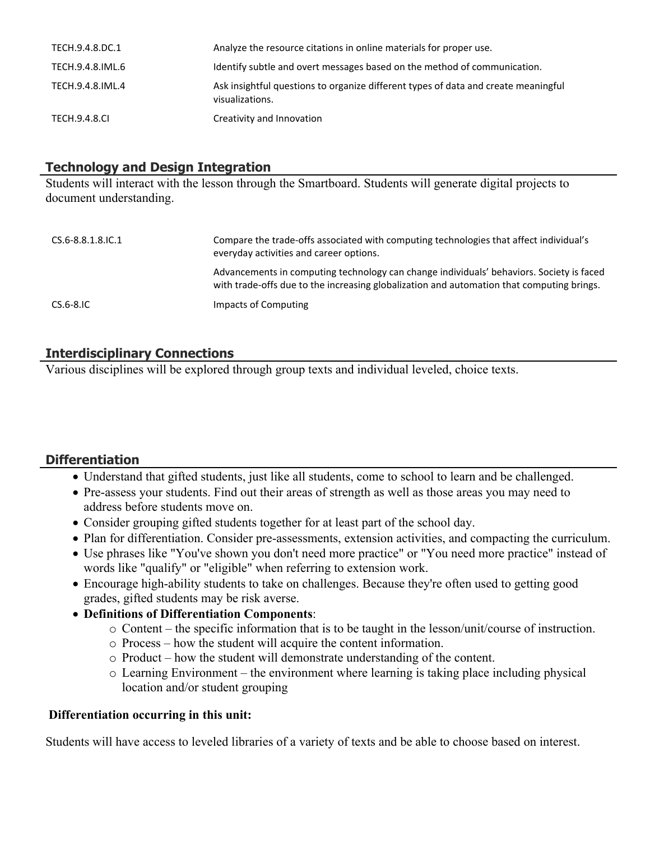| TECH.9.4.8.DC.1  | Analyze the resource citations in online materials for proper use.                                    |
|------------------|-------------------------------------------------------------------------------------------------------|
| TECH.9.4.8.IML.6 | Identify subtle and overt messages based on the method of communication.                              |
| TECH.9.4.8.IML.4 | Ask insightful questions to organize different types of data and create meaningful<br>visualizations. |
| TECH.9.4.8.CL    | Creativity and Innovation                                                                             |

## **Technology and Design Integration**

Students will interact with the lesson through the Smartboard. Students will generate digital projects to document understanding.

| CS.6-8.8.1.8.IC.1 | Compare the trade-offs associated with computing technologies that affect individual's<br>everyday activities and career options.                                                     |
|-------------------|---------------------------------------------------------------------------------------------------------------------------------------------------------------------------------------|
|                   | Advancements in computing technology can change individuals' behaviors. Society is faced<br>with trade-offs due to the increasing globalization and automation that computing brings. |
| $CS.6-8.1C$       | Impacts of Computing                                                                                                                                                                  |

# **Interdisciplinary Connections**

Various disciplines will be explored through group texts and individual leveled, choice texts.

# **Differentiation**

- Understand that gifted students, just like all students, come to school to learn and be challenged.
- Pre-assess your students. Find out their areas of strength as well as those areas you may need to address before students move on.
- Consider grouping gifted students together for at least part of the school day.
- Plan for differentiation. Consider pre-assessments, extension activities, and compacting the curriculum.
- Use phrases like "You've shown you don't need more practice" or "You need more practice" instead of words like "qualify" or "eligible" when referring to extension work.
- Encourage high-ability students to take on challenges. Because they're often used to getting good grades, gifted students may be risk averse.
- **Definitions of Differentiation Components**:
	- o Content the specific information that is to be taught in the lesson/unit/course of instruction.
	- o Process how the student will acquire the content information.
	- o Product how the student will demonstrate understanding of the content.
	- o Learning Environment the environment where learning is taking place including physical location and/or student grouping

## **Differentiation occurring in this unit:**

Students will have access to leveled libraries of a variety of texts and be able to choose based on interest.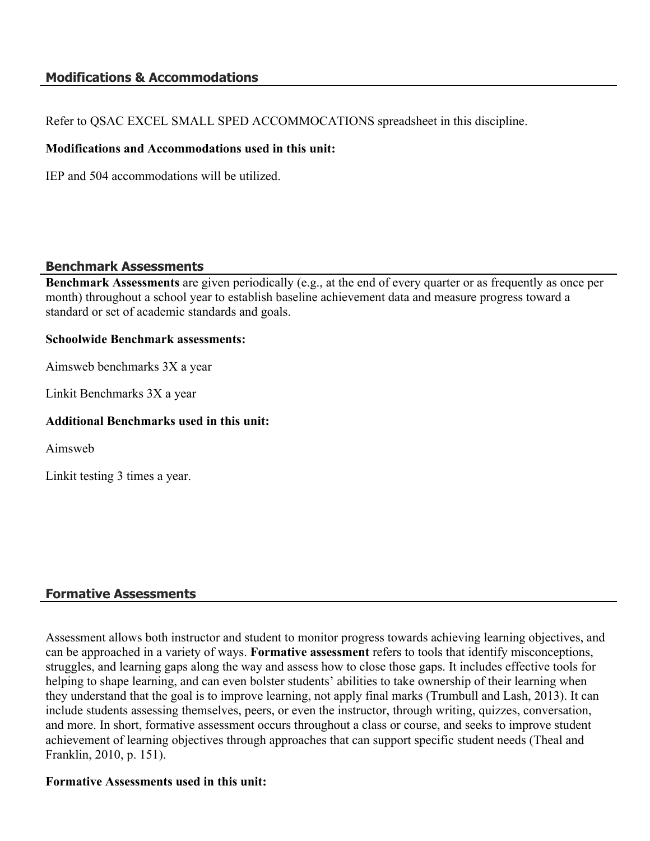## **Modifications & Accommodations**

Refer to QSAC EXCEL SMALL SPED ACCOMMOCATIONS spreadsheet in this discipline.

## **Modifications and Accommodations used in this unit:**

IEP and 504 accommodations will be utilized.

#### **Benchmark Assessments**

**Benchmark Assessments** are given periodically (e.g., at the end of every quarter or as frequently as once per month) throughout a school year to establish baseline achievement data and measure progress toward a standard or set of academic standards and goals.

#### **Schoolwide Benchmark assessments:**

Aimsweb benchmarks 3X a year

Linkit Benchmarks 3X a year

## **Additional Benchmarks used in this unit:**

Aimsweb

Linkit testing 3 times a year.

## **Formative Assessments**

Assessment allows both instructor and student to monitor progress towards achieving learning objectives, and can be approached in a variety of ways. **Formative assessment** refers to tools that identify misconceptions, struggles, and learning gaps along the way and assess how to close those gaps. It includes effective tools for helping to shape learning, and can even bolster students' abilities to take ownership of their learning when they understand that the goal is to improve learning, not apply final marks (Trumbull and Lash, 2013). It can include students assessing themselves, peers, or even the instructor, through writing, quizzes, conversation, and more. In short, formative assessment occurs throughout a class or course, and seeks to improve student achievement of learning objectives through approaches that can support specific student needs (Theal and Franklin, 2010, p. 151).

#### **Formative Assessments used in this unit:**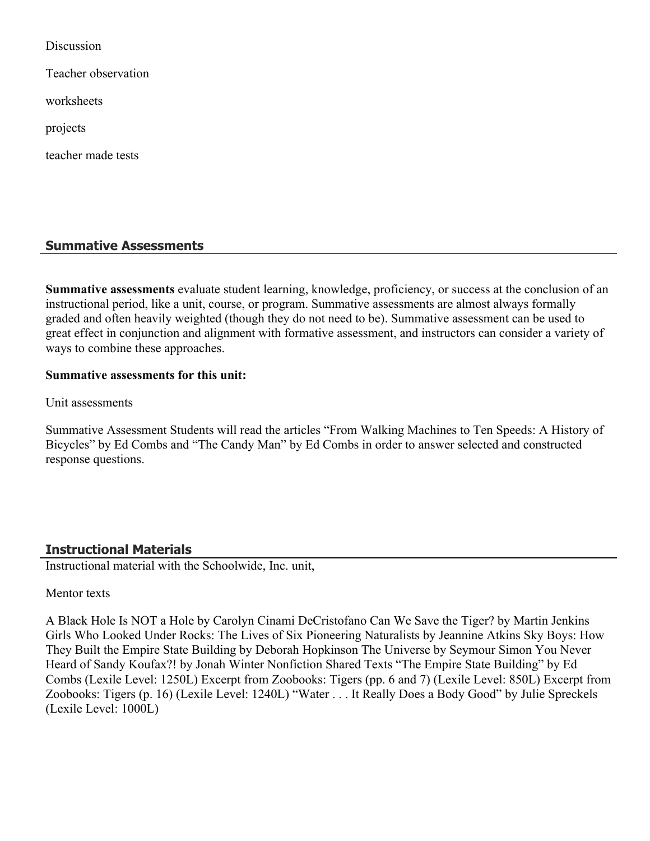Discussion

Teacher observation

worksheets

projects

teacher made tests

## **Summative Assessments**

**Summative assessments** evaluate student learning, knowledge, proficiency, or success at the conclusion of an instructional period, like a unit, course, or program. Summative assessments are almost always formally graded and often heavily weighted (though they do not need to be). Summative assessment can be used to great effect in conjunction and alignment with formative assessment, and instructors can consider a variety of ways to combine these approaches.

#### **Summative assessments for this unit:**

Unit assessments

Summative Assessment Students will read the articles "From Walking Machines to Ten Speeds: A History of Bicycles" by Ed Combs and "The Candy Man" by Ed Combs in order to answer selected and constructed response questions.

## **Instructional Materials**

Instructional material with the Schoolwide, Inc. unit,

#### Mentor texts

A Black Hole Is NOT a Hole by Carolyn Cinami DeCristofano Can We Save the Tiger? by Martin Jenkins Girls Who Looked Under Rocks: The Lives of Six Pioneering Naturalists by Jeannine Atkins Sky Boys: How They Built the Empire State Building by Deborah Hopkinson The Universe by Seymour Simon You Never Heard of Sandy Koufax?! by Jonah Winter Nonfiction Shared Texts "The Empire State Building" by Ed Combs (Lexile Level: 1250L) Excerpt from Zoobooks: Tigers (pp. 6 and 7) (Lexile Level: 850L) Excerpt from Zoobooks: Tigers (p. 16) (Lexile Level: 1240L) "Water . . . It Really Does a Body Good" by Julie Spreckels (Lexile Level: 1000L)